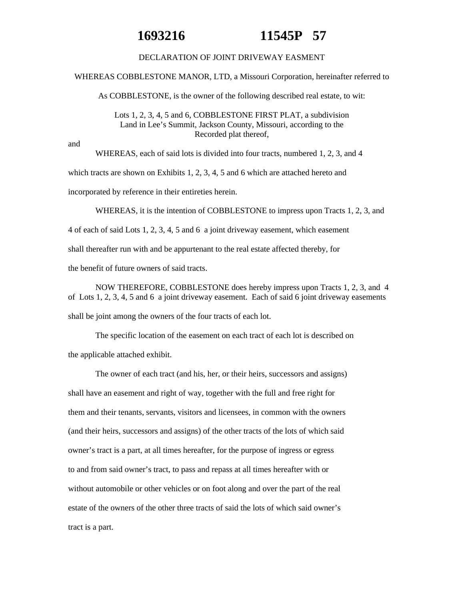## **1693216 11545P 57**

## DECLARATION OF JOINT DRIVEWAY EASMENT

WHEREAS COBBLESTONE MANOR, LTD, a Missouri Corporation, hereinafter referred to

As COBBLESTONE, is the owner of the following described real estate, to wit:

Lots 1, 2, 3, 4, 5 and 6, COBBLESTONE FIRST PLAT, a subdivision Land in Lee's Summit, Jackson County, Missouri, according to the Recorded plat thereof,

and

WHEREAS, each of said lots is divided into four tracts, numbered 1, 2, 3, and 4 which tracts are shown on Exhibits 1, 2, 3, 4, 5 and 6 which are attached hereto and incorporated by reference in their entireties herein.

WHEREAS, it is the intention of COBBLESTONE to impress upon Tracts 1, 2, 3, and

4 of each of said Lots 1, 2, 3, 4, 5 and 6 a joint driveway easement, which easement

shall thereafter run with and be appurtenant to the real estate affected thereby, for

the benefit of future owners of said tracts.

NOW THEREFORE, COBBLESTONE does hereby impress upon Tracts 1, 2, 3, and 4 of Lots 1, 2, 3, 4, 5 and 6 a joint driveway easement. Each of said 6 joint driveway easements shall be joint among the owners of the four tracts of each lot.

The specific location of the easement on each tract of each lot is described on the applicable attached exhibit.

The owner of each tract (and his, her, or their heirs, successors and assigns) shall have an easement and right of way, together with the full and free right for them and their tenants, servants, visitors and licensees, in common with the owners (and their heirs, successors and assigns) of the other tracts of the lots of which said owner's tract is a part, at all times hereafter, for the purpose of ingress or egress to and from said owner's tract, to pass and repass at all times hereafter with or without automobile or other vehicles or on foot along and over the part of the real estate of the owners of the other three tracts of said the lots of which said owner's tract is a part.